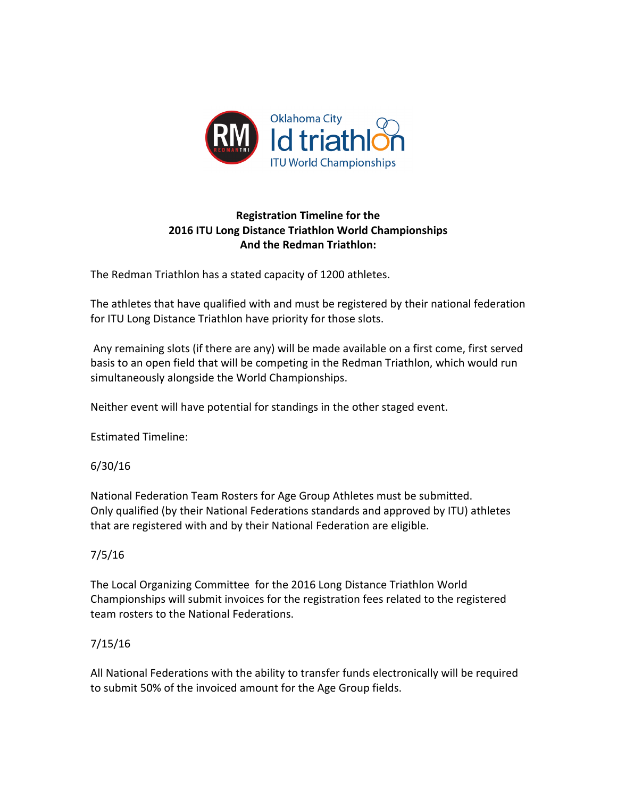

## **Registration Timeline for the 2016 ITU Long Distance Triathlon World Championships** And the Redman Triathlon:

The Redman Triathlon has a stated capacity of 1200 athletes.

The athletes that have qualified with and must be registered by their national federation for ITU Long Distance Triathlon have priority for those slots.

Any remaining slots (if there are any) will be made available on a first come, first served basis to an open field that will be competing in the Redman Triathlon, which would run simultaneously alongside the World Championships.

Neither event will have potential for standings in the other staged event.

Estimated Timeline:

6/30/16

National Federation Team Rosters for Age Group Athletes must be submitted. Only qualified (by their National Federations standards and approved by ITU) athletes that are registered with and by their National Federation are eligible.

# 7/5/16

The Local Organizing Committee for the 2016 Long Distance Triathlon World Championships will submit invoices for the registration fees related to the registered team rosters to the National Federations.

# 7/15/16

All National Federations with the ability to transfer funds electronically will be required to submit 50% of the invoiced amount for the Age Group fields.